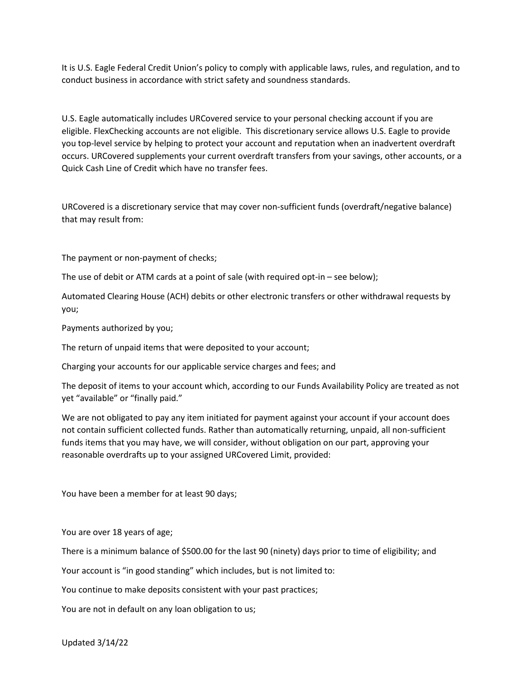It is U.S. Eagle Federal Credit Union's policy to comply with applicable laws, rules, and regulation, and to conduct business in accordance with strict safety and soundness standards.

U.S. Eagle automatically includes URCovered service to your personal checking account if you are eligible. FlexChecking accounts are not eligible. This discretionary service allows U.S. Eagle to provide you top-level service by helping to protect your account and reputation when an inadvertent overdraft occurs. URCovered supplements your current overdraft transfers from your savings, other accounts, or a Quick Cash Line of Credit which have no transfer fees.

URCovered is a discretionary service that may cover non-sufficient funds (overdraft/negative balance) that may result from:

The payment or non-payment of checks;

The use of debit or ATM cards at a point of sale (with required opt-in – see below);

Automated Clearing House (ACH) debits or other electronic transfers or other withdrawal requests by you;

Payments authorized by you;

The return of unpaid items that were deposited to your account;

Charging your accounts for our applicable service charges and fees; and

The deposit of items to your account which, according to our Funds Availability Policy are treated as not yet "available" or "finally paid."

We are not obligated to pay any item initiated for payment against your account if your account does not contain sufficient collected funds. Rather than automatically returning, unpaid, all non-sufficient funds items that you may have, we will consider, without obligation on our part, approving your reasonable overdrafts up to your assigned URCovered Limit, provided:

You have been a member for at least 90 days;

You are over 18 years of age;

There is a minimum balance of \$500.00 for the last 90 (ninety) days prior to time of eligibility; and

Your account is "in good standing" which includes, but is not limited to:

You continue to make deposits consistent with your past practices;

You are not in default on any loan obligation to us;

Updated 3/14/22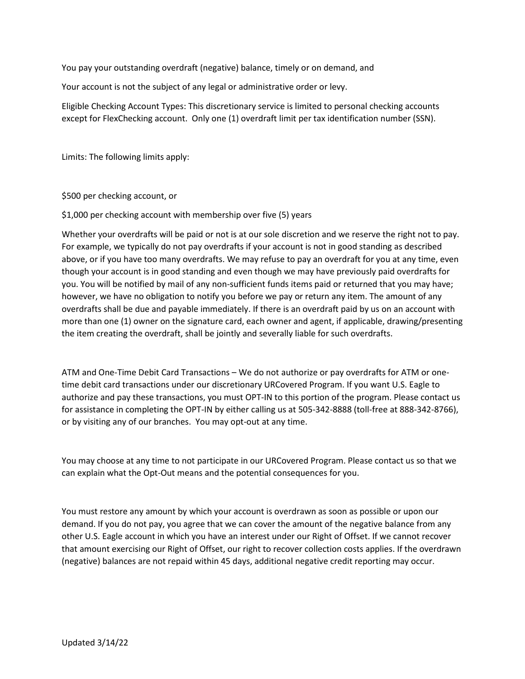You pay your outstanding overdraft (negative) balance, timely or on demand, and

Your account is not the subject of any legal or administrative order or levy.

Eligible Checking Account Types: This discretionary service is limited to personal checking accounts except for FlexChecking account. Only one (1) overdraft limit per tax identification number (SSN).

Limits: The following limits apply:

\$500 per checking account, or

\$1,000 per checking account with membership over five (5) years

Whether your overdrafts will be paid or not is at our sole discretion and we reserve the right not to pay. For example, we typically do not pay overdrafts if your account is not in good standing as described above, or if you have too many overdrafts. We may refuse to pay an overdraft for you at any time, even though your account is in good standing and even though we may have previously paid overdrafts for you. You will be notified by mail of any non-sufficient funds items paid or returned that you may have; however, we have no obligation to notify you before we pay or return any item. The amount of any overdrafts shall be due and payable immediately. If there is an overdraft paid by us on an account with more than one (1) owner on the signature card, each owner and agent, if applicable, drawing/presenting the item creating the overdraft, shall be jointly and severally liable for such overdrafts.

ATM and One-Time Debit Card Transactions – We do not authorize or pay overdrafts for ATM or onetime debit card transactions under our discretionary URCovered Program. If you want U.S. Eagle to authorize and pay these transactions, you must OPT-IN to this portion of the program. Please contact us for assistance in completing the OPT-IN by either calling us at 505-342-8888 (toll-free at 888-342-8766), or by visiting any of our branches. You may opt-out at any time.

You may choose at any time to not participate in our URCovered Program. Please contact us so that we can explain what the Opt-Out means and the potential consequences for you.

You must restore any amount by which your account is overdrawn as soon as possible or upon our demand. If you do not pay, you agree that we can cover the amount of the negative balance from any other U.S. Eagle account in which you have an interest under our Right of Offset. If we cannot recover that amount exercising our Right of Offset, our right to recover collection costs applies. If the overdrawn (negative) balances are not repaid within 45 days, additional negative credit reporting may occur.